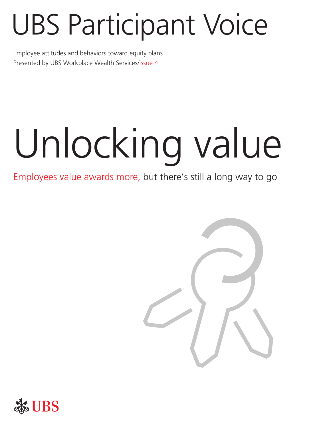# UBS Participant Voice

Employee attitudes and behaviors toward equity plans Presented by UBS Workplace Wealth Services/Issue 4

# Unlocking value

# Employees value awards more, but there's still a long way to go



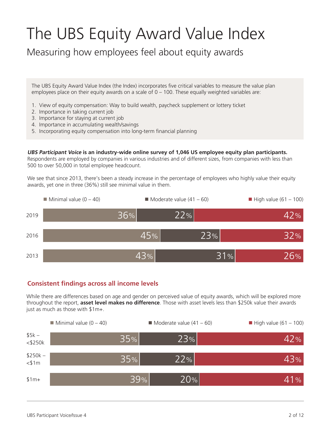# The UBS Equity Award Value Index

Measuring how employees feel about equity awards

The UBS Equity Award Value Index (the Index) incorporates five critical variables to measure the value plan employees place on their equity awards on a scale of 0 – 100. These equally weighted variables are:

- 1. View of equity compensation: Way to build wealth, paycheck supplement or lottery ticket
- 2. Importance in taking current job
- 3. Importance for staying at current job
- 4. Importance in accumulating wealth/savings
- 5. Incorporating equity compensation into long-term financial planning

**UBS Participant Voice is an industry-wide online survey of 1,046 US employee equity plan participants.** 

Respondents are employed by companies in various industries and of different sizes, from companies with less than 500 to over 50,000 in total employee headcount.

We see that since 2013, there's been a steady increase in the percentage of employees who highly value their equity awards, yet one in three (36%) still see minimal value in them.



#### **Consistent findings across all income levels**

While there are differences based on age and gender on perceived value of equity awards, which will be explored more throughout the report, **asset level makes no difference**. Those with asset levels less than \$250k value their awards just as much as those with \$1m+.

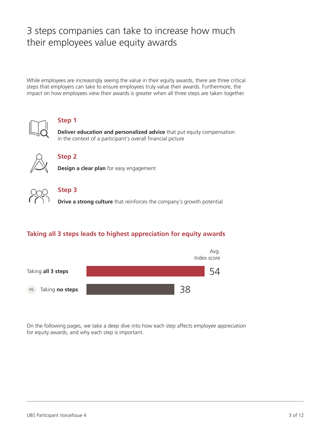# 3 steps companies can take to increase how much their employees value equity awards

While employees are increasingly seeing the value in their equity awards, there are three critical steps that employers can take to ensure employees truly value their awards. Furthermore, the impact on how employees view their awards is greater when all three steps are taken together.



#### **Step 1**

**Deliver education and personalized advice** that put equity compensation in the context of a participant's overall financial picture



#### **Step 2**

**Design a clear plan** for easy engagement



#### **Step 3**

**Drive a strong culture** that reinforces the company's growth potential

#### **Taking all 3 steps leads to highest appreciation for equity awards**



On the following pages, we take a deep dive into how each step affects employee appreciation for equity awards, and why each step is important.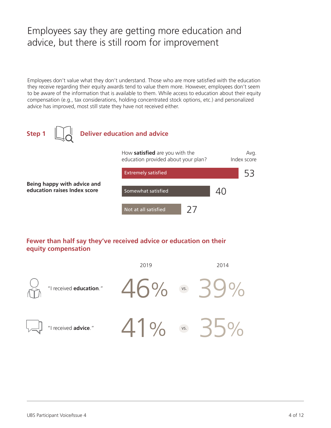# Employees say they are getting more education and advice, but there is still room for improvement

Employees don't value what they don't understand. Those who are more satisfied with the education they receive regarding their equity awards tend to value them more. However, employees don't seem to be aware of the information that is available to them. While access to education about their equity compensation (e.g., tax considerations, holding concentrated stock options, etc.) and personalized advice has improved, most still state they have not received either.



#### **Fewer than half say they've received advice or education on their equity compensation**

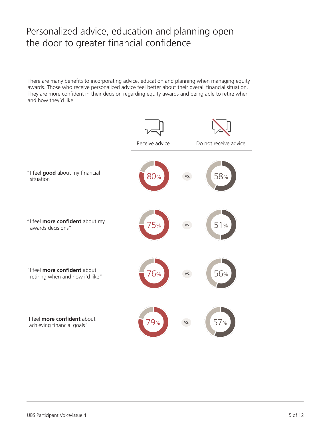# Personalized advice, education and planning open the door to greater financial confidence

There are many benefits to incorporating advice, education and planning when managing equity awards. Those who receive personalized advice feel better about their overall financial situation. They are more confident in their decision regarding equity awards and being able to retire when and how they'd like.

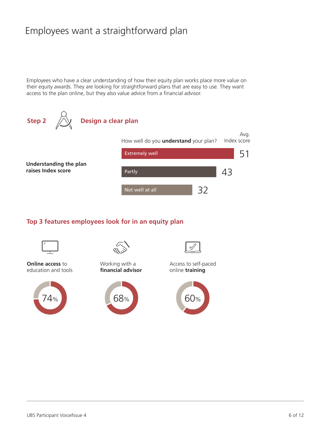# Employees want a straightforward plan

Employees who have a clear understanding of how their equity plan works place more value on their equity awards. They are looking for straightforward plans that are easy to use. They want access to the plan online, but they also value advice from a financial advisor.



#### **Top 3 features employees look for in an equity plan**



**Online access** to education and tools





Working with a **financial advisor**





Access to self-paced online **training**

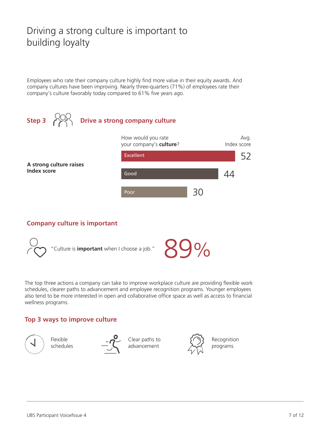# Driving a strong culture is important to building loyalty

Employees who rate their company culture highly find more value in their equity awards. And company cultures have been improving. Nearly three-quarters (71%) of employees rate their company's culture favorably today compared to 61% five years ago.



#### **Company culture is important**



The top three actions a company can take to improve workplace culture are providing flexible work schedules, clearer paths to advancement and employee recognition programs. Younger employees also tend to be more interested in open and collaborative office space as well as access to financial wellness programs.

#### **Top 3 ways to improve culture**



Flexible schedules



Clear paths to advancement



Recognition programs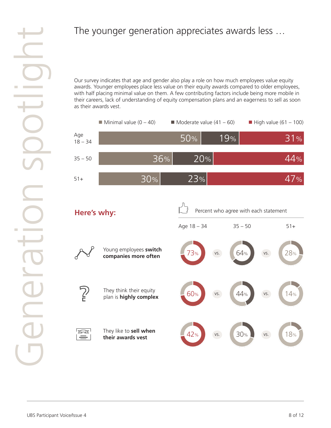#### The younger generation appreciates awards less …

Our survey indicates that age and gender also play a role on how much employees value equity awards. Younger employees place less value on their equity awards compared to older employees, with half placing minimal value on them. A few contributing factors include being more mobile in their careers, lack of understanding of equity compensation plans and an eagerness to sell as soon as their awards vest.

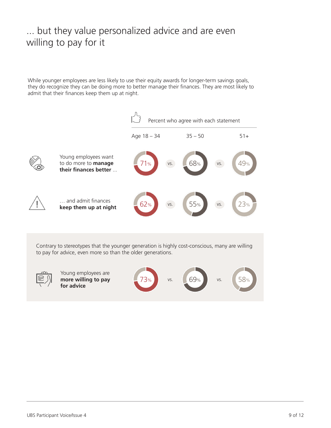# ... but they value personalized advice and are even willing to pay for it

While younger employees are less likely to use their equity awards for longer-term savings goals, they do recognize they can be doing more to better manage their finances. They are most likely to admit that their finances keep them up at night.

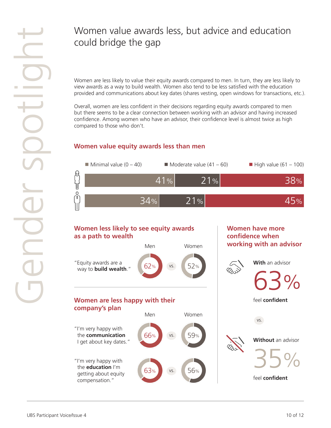# Women value awards less, but advice and education could bridge the gap

Women are less likely to value their equity awards compared to men. In turn, they are less likely to view awards as a way to build wealth. Women also tend to be less satisfied with the education provided and communications about key dates (shares vesting, open windows for transactions, etc.).

Overall, women are less confident in their decisions regarding equity awards compared to men but there seems to be a clear connection between working with an advisor and having increased confidence. Among women who have an advisor, their confidence level is almost twice as high compared to those who don't.

#### **Women value equity awards less than men**

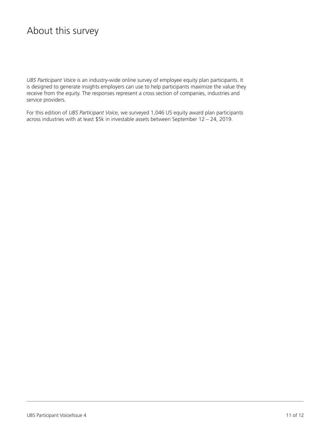#### About this survey

*UBS Participant Voice* is an industry-wide online survey of employee equity plan participants. It is designed to generate insights employers can use to help participants maximize the value they receive from the equity. The responses represent a cross section of companies, industries and service providers.

For this edition of *UBS Participant Voice*, we surveyed 1,046 US equity award plan participants across industries with at least \$5k in investable assets between September 12 – 24, 2019.